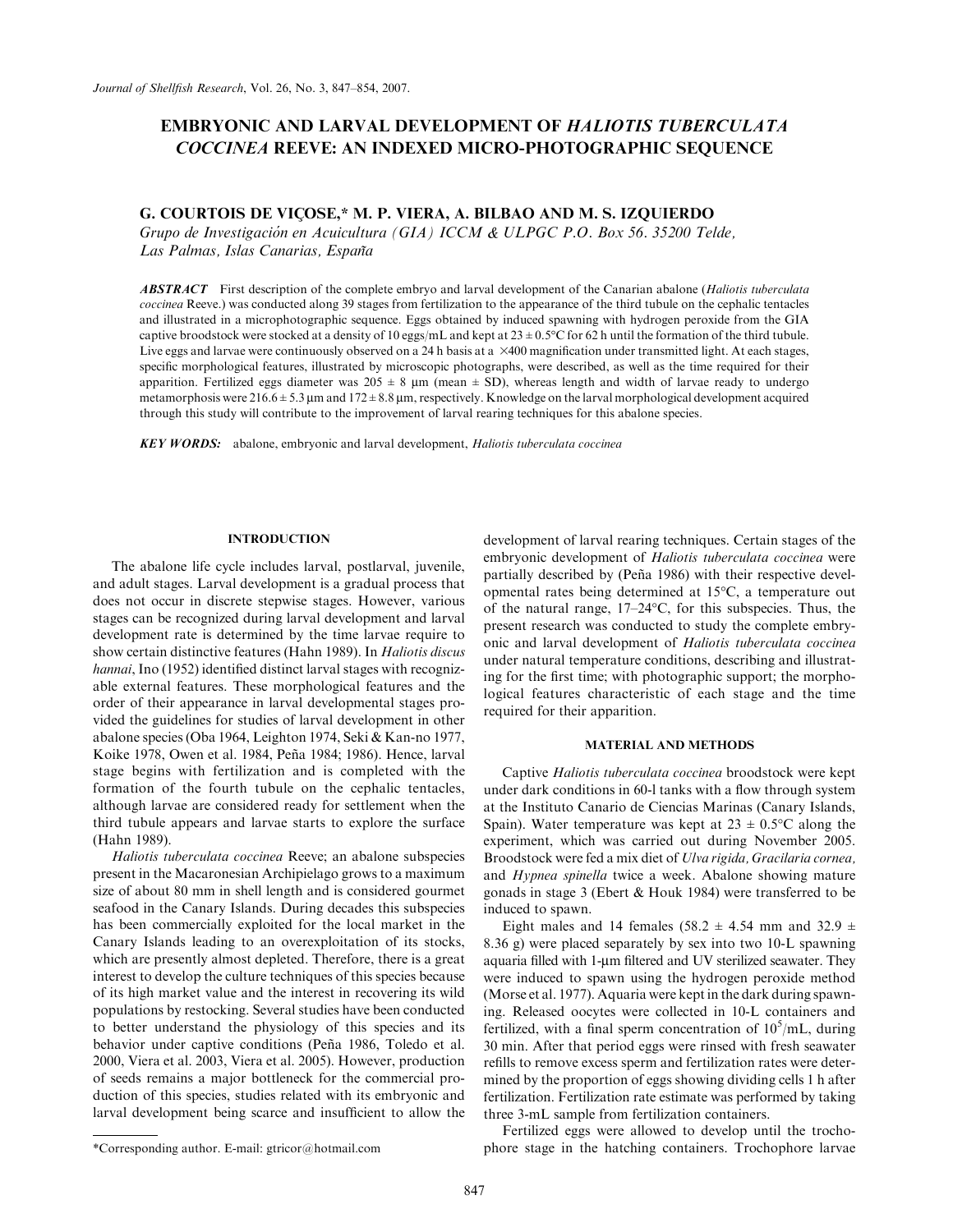# EMBRYONIC AND LARVAL DEVELOPMENT OF HALIOTIS TUBERCULATA COCCINEA REEVE: AN INDEXED MICRO-PHOTOGRAPHIC SEQUENCE

# G. COURTOIS DE VIÇOSE,\* M. P. VIERA, A. BILBAO AND M. S. IZQUIERDO

Grupo de Investigación en Acuicultura (GIA) ICCM & ULPGC P.O. Box 56. 35200 Telde, Las Palmas, Islas Canarias, España

**ABSTRACT** First description of the complete embryo and larval development of the Canarian abalone (Haliotis tuberculata coccinea Reeve.) was conducted along 39 stages from fertilization to the appearance of the third tubule on the cephalic tentacles and illustrated in a microphotographic sequence. Eggs obtained by induced spawning with hydrogen peroxide from the GIA captive broodstock were stocked at a density of 10 eggs/mL and kept at  $23 \pm 0.5^{\circ}\text{C}$  for 62 h until the formation of the third tubule. Live eggs and larvae were continuously observed on a 24 h basis at a  $\times$ 400 magnification under transmitted light. At each stages, specific morphological features, illustrated by microscopic photographs, were described, as well as the time required for their apparition. Fertilized eggs diameter was  $205 \pm 8$  µm (mean  $\pm$  SD), whereas length and width of larvae ready to undergo metamorphosis were  $216.6 \pm 5.3 \,\mu m$  and  $172 \pm 8.8 \,\mu m$ , respectively. Knowledge on the larval morphological development acquired through this study will contribute to the improvement of larval rearing techniques for this abalone species.

**KEY WORDS:** abalone, embryonic and larval development, Haliotis tuberculata coccinea

#### **INTRODUCTION**

The abalone life cycle includes larval, postlarval, juvenile, and adult stages. Larval development is a gradual process that does not occur in discrete stepwise stages. However, various stages can be recognized during larval development and larval development rate is determined by the time larvae require to show certain distinctive features (Hahn 1989). In Haliotis discus hannai, Ino (1952) identified distinct larval stages with recognizable external features. These morphological features and the order of their appearance in larval developmental stages provided the guidelines for studies of larval development in other abalone species (Oba 1964, Leighton 1974, Seki & Kan-no 1977, Koike 1978, Owen et al. 1984, Peña 1984; 1986). Hence, larval stage begins with fertilization and is completed with the formation of the fourth tubule on the cephalic tentacles, although larvae are considered ready for settlement when the third tubule appears and larvae starts to explore the surface (Hahn 1989).

Haliotis tuberculata coccinea Reeve; an abalone subspecies present in the Macaronesian Archipielago grows to a maximum size of about 80 mm in shell length and is considered gourmet seafood in the Canary Islands. During decades this subspecies has been commercially exploited for the local market in the Canary Islands leading to an overexploitation of its stocks, which are presently almost depleted. Therefore, there is a great interest to develop the culture techniques of this species because of its high market value and the interest in recovering its wild populations by restocking. Several studies have been conducted to better understand the physiology of this species and its behavior under captive conditions (Peña 1986, Toledo et al. 2000, Viera et al. 2003, Viera et al. 2005). However, production of seeds remains a major bottleneck for the commercial production of this species, studies related with its embryonic and larval development being scarce and insufficient to allow the

development of larval rearing techniques. Certain stages of the embryonic development of Haliotis tuberculata coccinea were partially described by (Peña 1986) with their respective developmental rates being determined at 15°C, a temperature out of the natural range,  $17-24$ °C, for this subspecies. Thus, the present research was conducted to study the complete embryonic and larval development of Haliotis tuberculata coccinea under natural temperature conditions, describing and illustrating for the first time; with photographic support; the morphological features characteristic of each stage and the time required for their apparition.

#### MATERIAL AND METHODS

Captive Haliotis tuberculata coccinea broodstock were kept under dark conditions in 60-l tanks with a flow through system at the Instituto Canario de Ciencias Marinas (Canary Islands, Spain). Water temperature was kept at  $23 \pm 0.5^{\circ}$ C along the experiment, which was carried out during November 2005. Broodstock were fed a mix diet of Ulva rigida, Gracilaria cornea, and Hypnea spinella twice a week. Abalone showing mature gonads in stage 3 (Ebert & Houk 1984) were transferred to be induced to spawn.

Eight males and 14 females (58.2  $\pm$  4.54 mm and 32.9  $\pm$ 8.36 g) were placed separately by sex into two 10-L spawning aquaria filled with 1-um filtered and UV sterilized seawater. They were induced to spawn using the hydrogen peroxide method (Morse et al. 1977). Aquaria were kept in the dark during spawning. Released oocytes were collected in 10-L containers and fertilized, with a final sperm concentration of  $10^5$ /mL, during 30 min. After that period eggs were rinsed with fresh seawater refills to remove excess sperm and fertilization rates were determined by the proportion of eggs showing dividing cells 1 h after fertilization. Fertilization rate estimate was performed by taking three 3-mL sample from fertilization containers.

Fertilized eggs were allowed to develop until the trocho- \*Corresponding author. E-mail: gtricor@hotmail.com phore stage in the hatching containers. Trochophore larvae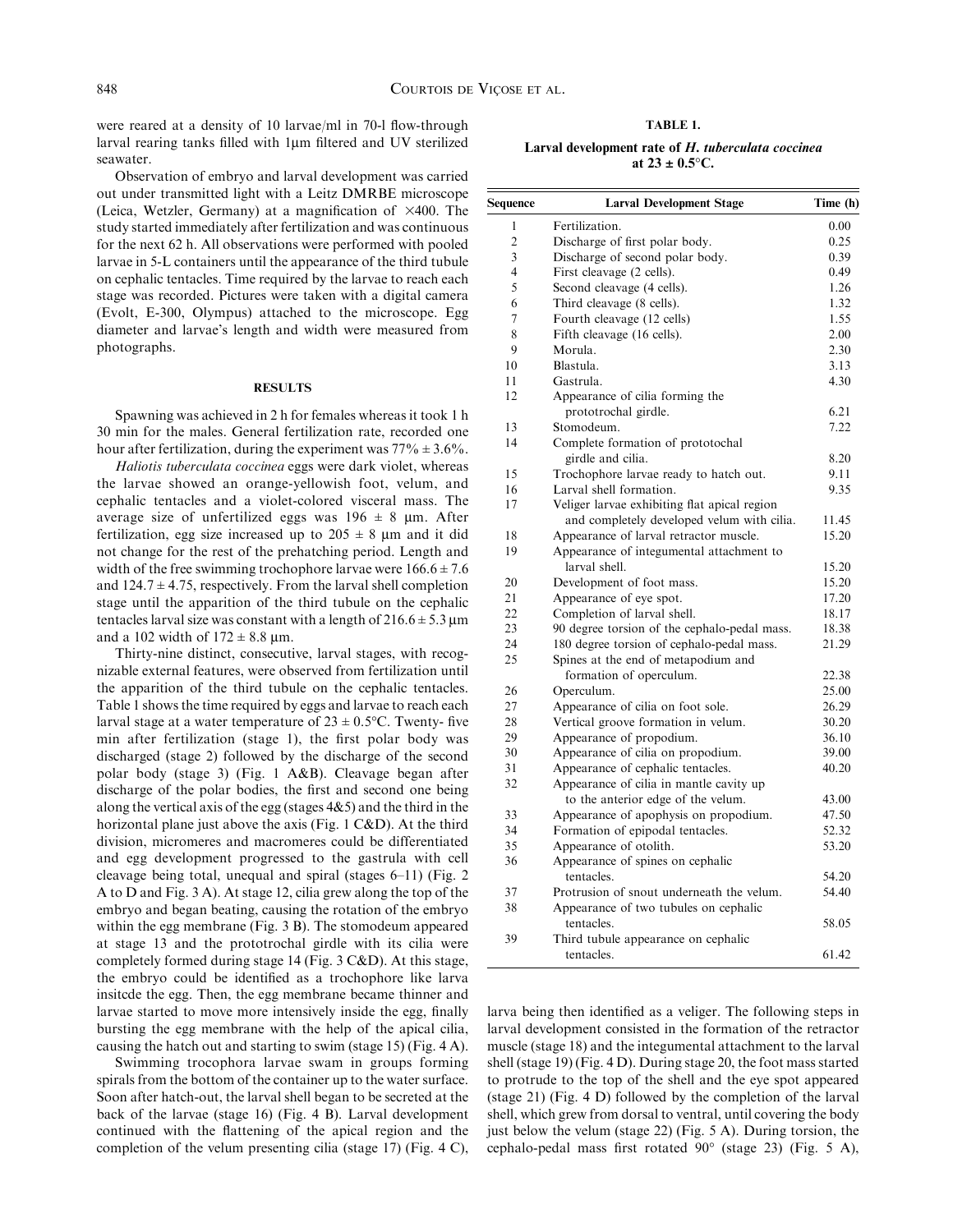were reared at a density of 10 larvae/ml in 70-1 flow-through larval rearing tanks filled with 1µm filtered and UV sterilized seawater.

Observation of embryo and larval development was carried out under transmitted light with a Leitz DMRBE microscope (Leica, Wetzler, Germany) at a magnification of  $\times$ 400. The study started immediately after fertilization and was continuous for the next 62 h. All observations were performed with pooled larvae in 5-L containers until the appearance of the third tubule on cephalic tentacles. Time required by the larvae to reach each stage was recorded. Pictures were taken with a digital camera (Evolt, E-300, Olympus) attached to the microscope. Egg diameter and larvae's length and width were measured from photographs.

#### **RESULTS**

Spawning was achieved in 2 h for females whereas it took 1 h 30 min for the males. General fertilization rate, recorded one hour after fertilization, during the experiment was  $77\% \pm 3.6\%$ .

Haliotis tuberculata coccinea eggs were dark violet, whereas the larvae showed an orange-yellowish foot, velum, and cephalic tentacles and a violet-colored visceral mass. The average size of unfertilized eggs was  $196 \pm 8$  µm. After fertilization, egg size increased up to  $205 \pm 8$  µm and it did not change for the rest of the prehatching period. Length and width of the free swimming trochophore larvae were  $166.6 \pm 7.6$ and  $124.7 \pm 4.75$ , respectively. From the larval shell completion stage until the apparition of the third tubule on the cephalic tentacles larval size was constant with a length of  $216.6 \pm 5.3 \text{ µm}$ and a 102 width of  $172 \pm 8.8$  um.

Thirty-nine distinct, consecutive, larval stages, with recognizable external features, were observed from fertilization until the apparition of the third tubule on the cephalic tentacles. Table 1 shows the time required by eggs and larvae to reach each larval stage at a water temperature of  $23 \pm 0.5$ °C. Twenty- five min after fertilization (stage 1), the first polar body was discharged (stage 2) followed by the discharge of the second polar body (stage 3) (Fig. 1 A&B). Cleavage began after discharge of the polar bodies, the first and second one being along the vertical axis of the egg (stages  $4&5$ ) and the third in the horizontal plane just above the axis (Fig. 1 C&D). At the third division, micromeres and macromeres could be differentiated and egg development progressed to the gastrula with cell cleavage being total, unequal and spiral (stages 6–11) (Fig. 2 A to D and Fig. 3 A). At stage 12, cilia grew along the top of the embryo and began beating, causing the rotation of the embryo within the egg membrane (Fig. 3 B). The stomodeum appeared at stage 13 and the prototrochal girdle with its cilia were completely formed during stage 14 (Fig. 3 C&D). At this stage, the embryo could be identified as a trochophore like larva insitcde the egg. Then, the egg membrane became thinner and larvae started to move more intensively inside the egg, finally bursting the egg membrane with the help of the apical cilia, causing the hatch out and starting to swim (stage 15) (Fig. 4 A).

Swimming trocophora larvae swam in groups forming spirals from the bottom of the container up to the water surface. Soon after hatch-out, the larval shell began to be secreted at the back of the larvae (stage 16) (Fig. 4 B). Larval development continued with the flattening of the apical region and the completion of the velum presenting cilia (stage 17) (Fig. 4 C),

TABLE 1.

| Larval development rate of H, tuberculata coccinea |  |
|----------------------------------------------------|--|
| at $23 \pm 0.5^{\circ}$ C.                         |  |

| Sequence       | <b>Larval Development Stage</b>                   | Time (h) |
|----------------|---------------------------------------------------|----------|
| 1              | Fertilization.                                    | 0.00     |
| $\overline{c}$ | Discharge of first polar body.                    | 0.25     |
| 3              | Discharge of second polar body.                   | 0.39     |
| 4              | First cleavage (2 cells).                         | 0.49     |
| 5              | Second cleavage (4 cells).                        | 1.26     |
| 6              | Third cleavage (8 cells).                         | 1.32     |
| 7              | Fourth cleavage (12 cells)                        | 1.55     |
| 8              | Fifth cleavage (16 cells).                        | 2.00     |
| 9              | Morula.                                           | 2.30     |
| 10             | Blastula.                                         | 3.13     |
| 11             | Gastrula.                                         | 4.30     |
| 12             | Appearance of cilia forming the                   |          |
|                | prototrochal girdle.                              | 6.21     |
| 13             | Stomodeum.                                        | 7.22     |
| 14             | Complete formation of prototochal                 |          |
|                | girdle and cilia.                                 | 8.20     |
| 15             | Trochophore larvae ready to hatch out.            | 9.11     |
| 16             | Larval shell formation.                           | 9.35     |
| 17             | Veliger larvae exhibiting flat apical region      |          |
|                | and completely developed velum with cilia.        | 11.45    |
| 18             | Appearance of larval retractor muscle.            | 15.20    |
| 19             | Appearance of integumental attachment to          |          |
|                | larval shell.                                     | 15.20    |
| 20             | Development of foot mass.                         | 15.20    |
| 21             | Appearance of eye spot.                           | 17.20    |
| 22             | Completion of larval shell.                       | 18.17    |
| 23             | 90 degree torsion of the cephalo-pedal mass.      | 18.38    |
| 24             | 180 degree torsion of cephalo-pedal mass.         | 21.29    |
| 25             | Spines at the end of metapodium and               |          |
|                | formation of operculum.                           | 22.38    |
| 26             | Operculum.                                        | 25.00    |
| 27             | Appearance of cilia on foot sole.                 | 26.29    |
| 28             | Vertical groove formation in velum.               | 30.20    |
| 29             | Appearance of propodium.                          | 36.10    |
| 30             | Appearance of cilia on propodium.                 | 39.00    |
| 31             | Appearance of cephalic tentacles.                 | 40.20    |
| 32             | Appearance of cilia in mantle cavity up           |          |
|                | to the anterior edge of the velum.                | 43.00    |
| 33             | Appearance of apophysis on propodium.             | 47.50    |
| 34             | Formation of epipodal tentacles.                  | 52.32    |
| 35             | Appearance of otolith.                            | 53.20    |
| 36             | Appearance of spines on cephalic                  |          |
|                | tentacles.                                        | 54.20    |
| 37             | Protrusion of snout underneath the velum.         | 54.40    |
| 38             | Appearance of two tubules on cephalic             |          |
|                | tentacles.                                        | 58.05    |
| 39             | Third tubule appearance on cephalic<br>tentacles. | 61.42    |
|                |                                                   |          |

larva being then identified as a veliger. The following steps in larval development consisted in the formation of the retractor muscle (stage 18) and the integumental attachment to the larval shell (stage 19) (Fig. 4 D). During stage 20, the foot mass started to protrude to the top of the shell and the eye spot appeared (stage 21) (Fig. 4 D) followed by the completion of the larval shell, which grew from dorsal to ventral, until covering the body just below the velum (stage 22) (Fig. 5 A). During torsion, the cephalo-pedal mass first rotated  $90^{\circ}$  (stage 23) (Fig. 5 A),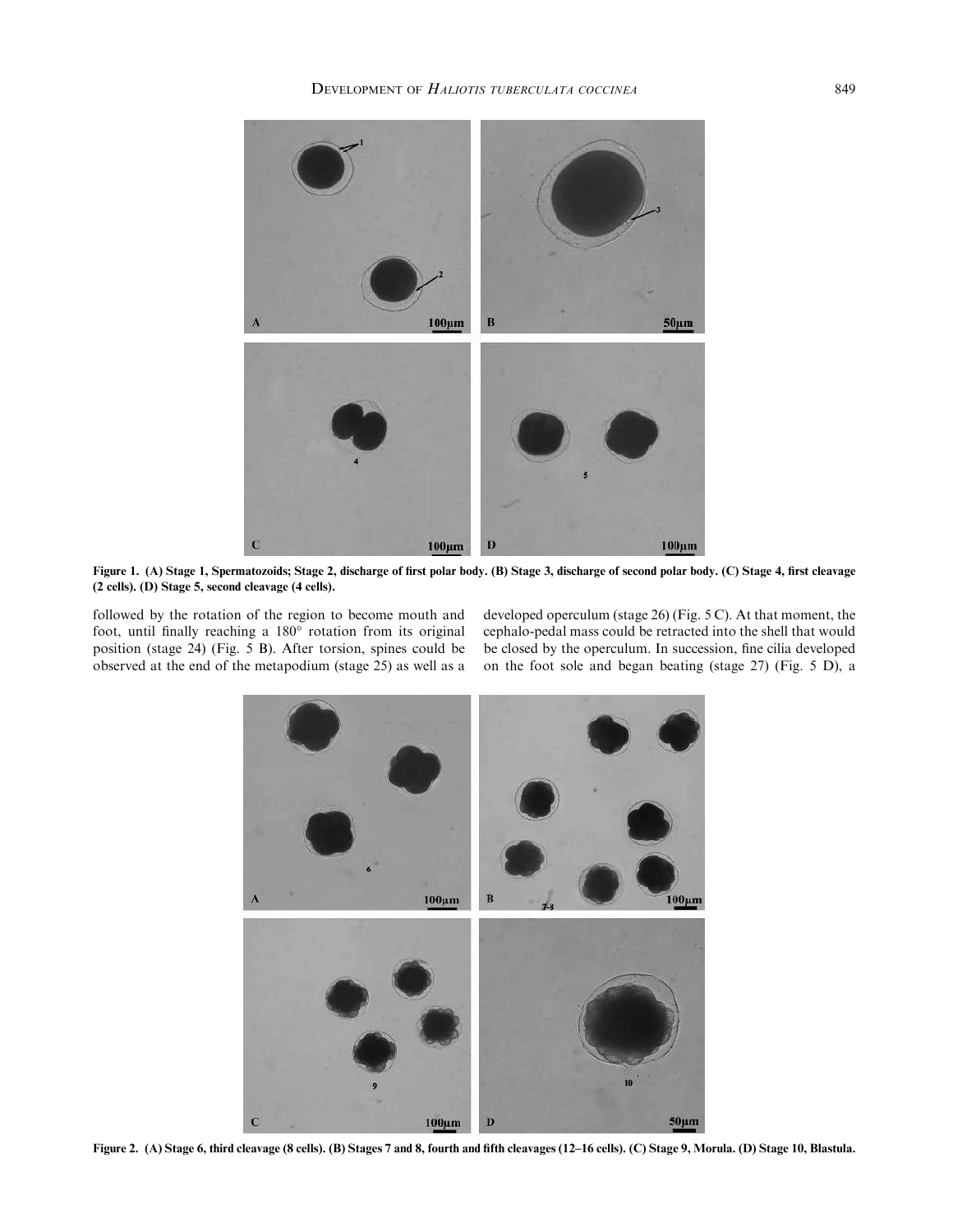

Figure 1. (A) Stage 1, Spermatozoids; Stage 2, discharge of first polar body. (B) Stage 3, discharge of second polar body. (C) Stage 4, first cleavage (2 cells). (D) Stage 5, second cleavage (4 cells).

followed by the rotation of the region to become mouth and foot, until finally reaching a 180° rotation from its original position (stage 24) (Fig. 5 B). After torsion, spines could be observed at the end of the metapodium (stage 25) as well as a developed operculum (stage 26) (Fig. 5 C). At that moment, the cephalo-pedal mass could be retracted into the shell that would be closed by the operculum. In succession, fine cilia developed on the foot sole and began beating (stage 27) (Fig. 5 D), a



Figure 2. (A) Stage 6, third cleavage (8 cells). (B) Stages 7 and 8, fourth and fifth cleavages (12–16 cells). (C) Stage 9, Morula. (D) Stage 10, Blastula.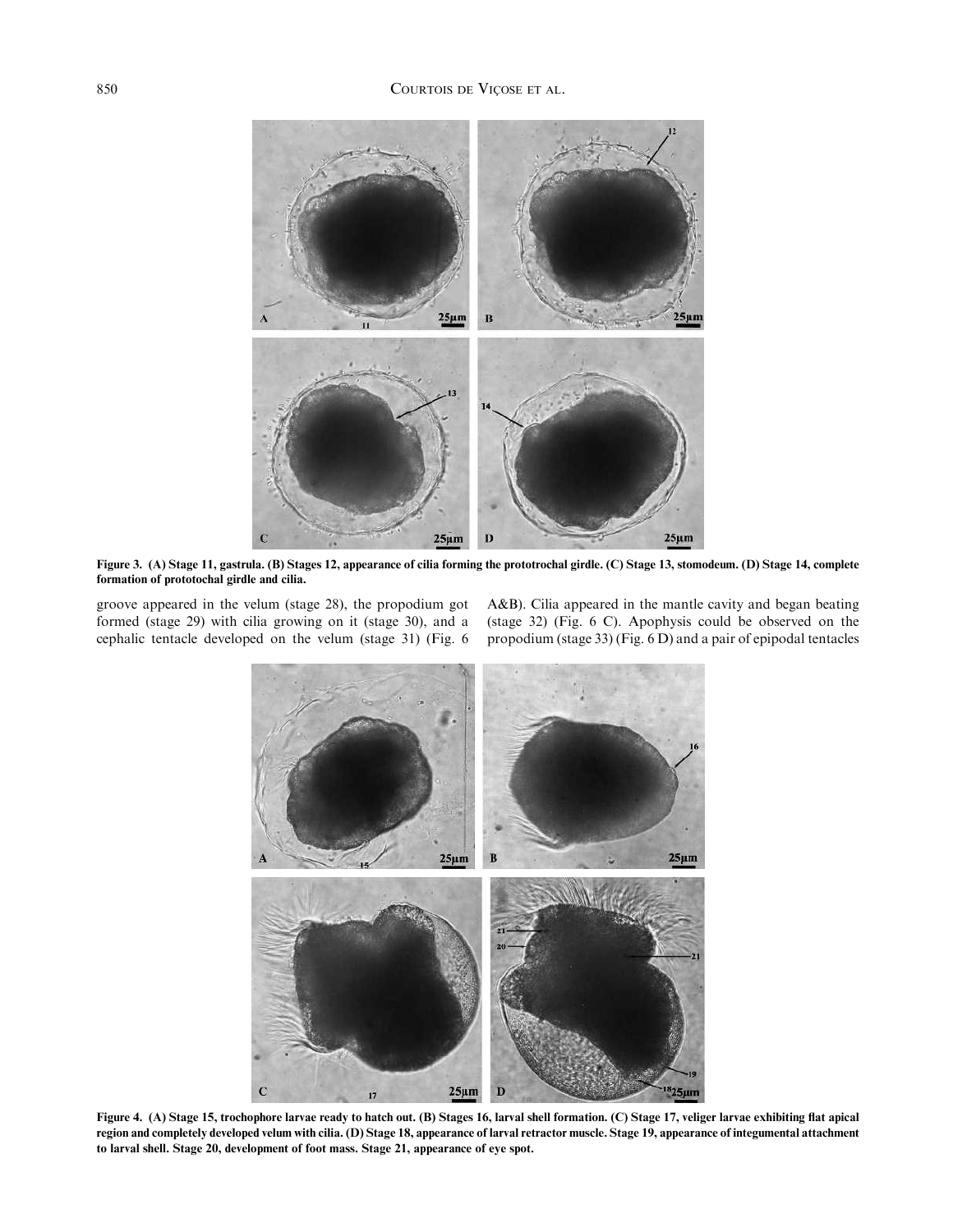

Figure 3. (A) Stage 11, gastrula. (B) Stages 12, appearance of cilia forming the prototrochal girdle. (C) Stage 13, stomodeum. (D) Stage 14, complete formation of prototochal girdle and cilia.

groove appeared in the velum (stage 28), the propodium got formed (stage 29) with cilia growing on it (stage 30), and a cephalic tentacle developed on the velum (stage 31) (Fig. 6 A&B). Cilia appeared in the mantle cavity and began beating (stage 32) (Fig. 6 C). Apophysis could be observed on the propodium (stage 33) (Fig. 6 D) and a pair of epipodal tentacles



Figure 4. (A) Stage 15, trochophore larvae ready to hatch out. (B) Stages 16, larval shell formation. (C) Stage 17, veliger larvae exhibiting flat apical region and completely developed velum with cilia. (D) Stage 18, appearance of larval retractor muscle. Stage 19, appearance of integumental attachment to larval shell. Stage 20, development of foot mass. Stage 21, appearance of eye spot.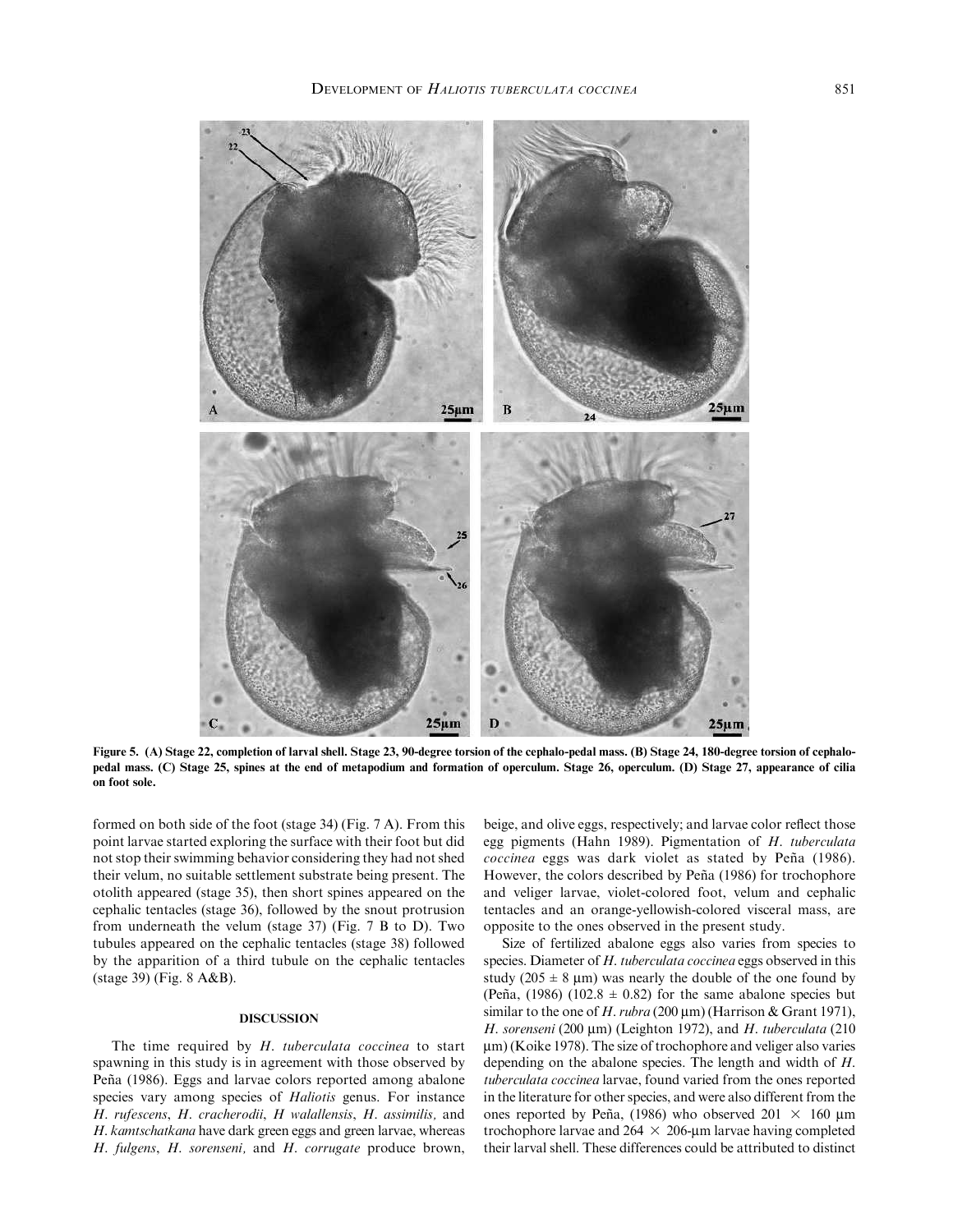

Figure 5. (A) Stage 22, completion of larval shell. Stage 23, 90-degree torsion of the cephalo-pedal mass. (B) Stage 24, 180-degree torsion of cephalopedal mass. (C) Stage 25, spines at the end of metapodium and formation of operculum. Stage 26, operculum. (D) Stage 27, appearance of cilia on foot sole.

formed on both side of the foot (stage 34) (Fig. 7 A). From this point larvae started exploring the surface with their foot but did not stop their swimming behavior considering they had not shed their velum, no suitable settlement substrate being present. The otolith appeared (stage 35), then short spines appeared on the cephalic tentacles (stage 36), followed by the snout protrusion from underneath the velum (stage 37) (Fig. 7 B to D). Two tubules appeared on the cephalic tentacles (stage 38) followed by the apparition of a third tubule on the cephalic tentacles (stage 39) (Fig. 8 A&B).

## DISCUSSION

The time required by H. tuberculata coccinea to start spawning in this study is in agreement with those observed by Peña (1986). Eggs and larvae colors reported among abalone species vary among species of Haliotis genus. For instance H. rufescens, H. cracherodii, H walallensis, H. assimilis, and H. kamtschatkana have dark green eggs and green larvae, whereas H. fulgens, H. sorenseni, and H. corrugate produce brown,

beige, and olive eggs, respectively; and larvae color reflect those egg pigments (Hahn 1989). Pigmentation of H. tuberculata coccinea eggs was dark violet as stated by Peña (1986). However, the colors described by Peña (1986) for trochophore and veliger larvae, violet-colored foot, velum and cephalic tentacles and an orange-yellowish-colored visceral mass, are opposite to the ones observed in the present study.

Size of fertilized abalone eggs also varies from species to species. Diameter of H. tuberculata coccinea eggs observed in this study (205  $\pm$  8 µm) was nearly the double of the one found by (Peña, (1986) (102.8  $\pm$  0.82) for the same abalone species but similar to the one of H. rubra (200  $\mu$ m) (Harrison & Grant 1971), H. sorenseni (200  $\mu$ m) (Leighton 1972), and H. tuberculata (210  $\mu$ m) (Koike 1978). The size of trochophore and veliger also varies depending on the abalone species. The length and width of H. tuberculata coccinea larvae, found varied from the ones reported in the literature for other species, and were also different from the ones reported by Peña, (1986) who observed  $201 \times 160 \text{ }\mu\text{m}$ trochophore larvae and  $264 \times 206$ -um larvae having completed their larval shell. These differences could be attributed to distinct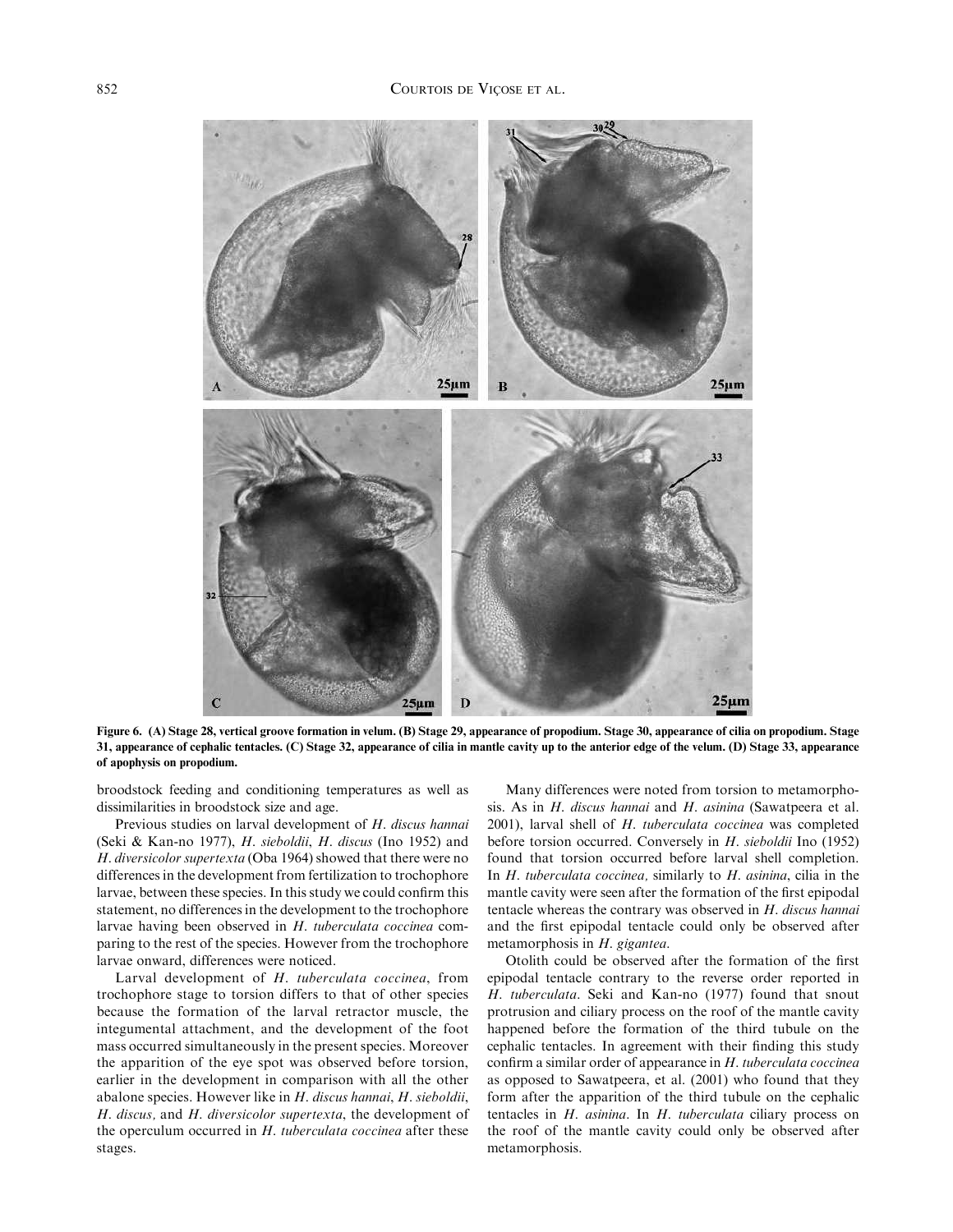

Figure 6. (A) Stage 28, vertical groove formation in velum. (B) Stage 29, appearance of propodium. Stage 30, appearance of cilia on propodium. Stage 31, appearance of cephalic tentacles. (C) Stage 32, appearance of cilia in mantle cavity up to the anterior edge of the velum. (D) Stage 33, appearance of apophysis on propodium.

broodstock feeding and conditioning temperatures as well as dissimilarities in broodstock size and age.

Previous studies on larval development of H. discus hannai (Seki & Kan-no 1977), H. sieboldii, H. discus (Ino 1952) and H. diversicolor supertexta (Oba 1964) showed that there were no differences in the development from fertilization to trochophore larvae, between these species. In this study we could confirm this statement, no differences in the development to the trochophore larvae having been observed in H. tuberculata coccinea comparing to the rest of the species. However from the trochophore larvae onward, differences were noticed.

Larval development of H. tuberculata coccinea, from trochophore stage to torsion differs to that of other species because the formation of the larval retractor muscle, the integumental attachment, and the development of the foot mass occurred simultaneously in the present species. Moreover the apparition of the eye spot was observed before torsion, earlier in the development in comparison with all the other abalone species. However like in H. discus hannai, H. sieboldii, H. discus, and H. diversicolor supertexta, the development of the operculum occurred in H. tuberculata coccinea after these stages.

Many differences were noted from torsion to metamorphosis. As in *H. discus hannai* and *H. asinina* (Sawatpeera et al. 2001), larval shell of H. tuberculata coccinea was completed before torsion occurred. Conversely in H. sieboldii Ino (1952) found that torsion occurred before larval shell completion. In  $H$ . tuberculata coccinea, similarly to  $H$ . asinina, cilia in the mantle cavity were seen after the formation of the first epipodal tentacle whereas the contrary was observed in H. discus hannai and the first epipodal tentacle could only be observed after metamorphosis in H. gigantea.

Otolith could be observed after the formation of the first epipodal tentacle contrary to the reverse order reported in H. tuberculata. Seki and Kan-no (1977) found that snout protrusion and ciliary process on the roof of the mantle cavity happened before the formation of the third tubule on the cephalic tentacles. In agreement with their finding this study confirm a similar order of appearance in H. tuberculata coccinea as opposed to Sawatpeera, et al. (2001) who found that they form after the apparition of the third tubule on the cephalic tentacles in H. asinina. In H. tuberculata ciliary process on the roof of the mantle cavity could only be observed after metamorphosis.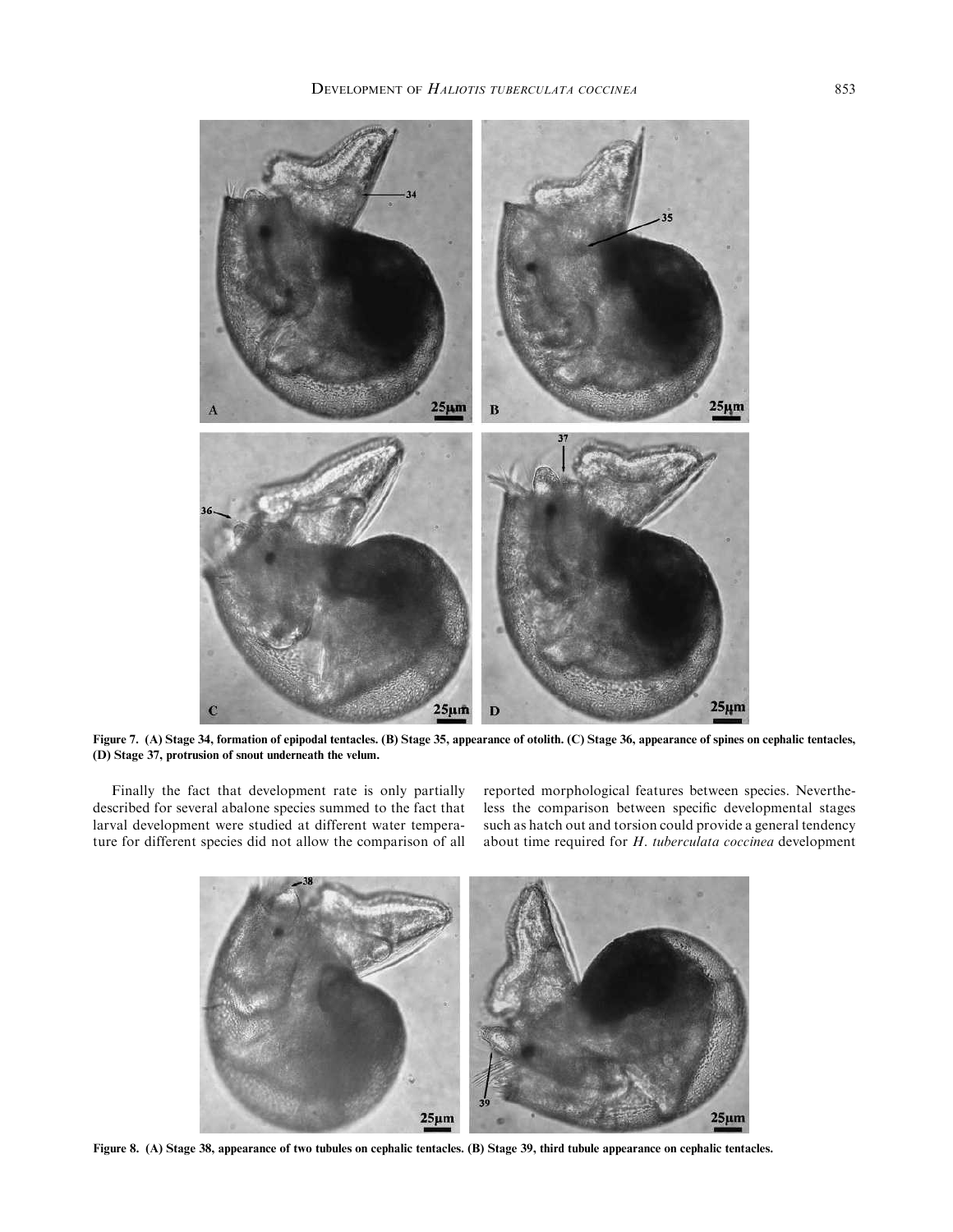

Figure 7. (A) Stage 34, formation of epipodal tentacles. (B) Stage 35, appearance of otolith. (C) Stage 36, appearance of spines on cephalic tentacles, (D) Stage 37, protrusion of snout underneath the velum.

Finally the fact that development rate is only partially described for several abalone species summed to the fact that larval development were studied at different water temperature for different species did not allow the comparison of all

reported morphological features between species. Nevertheless the comparison between specific developmental stages such as hatch out and torsion could provide a general tendency about time required for H. tuberculata coccinea development



Figure 8. (A) Stage 38, appearance of two tubules on cephalic tentacles. (B) Stage 39, third tubule appearance on cephalic tentacles.